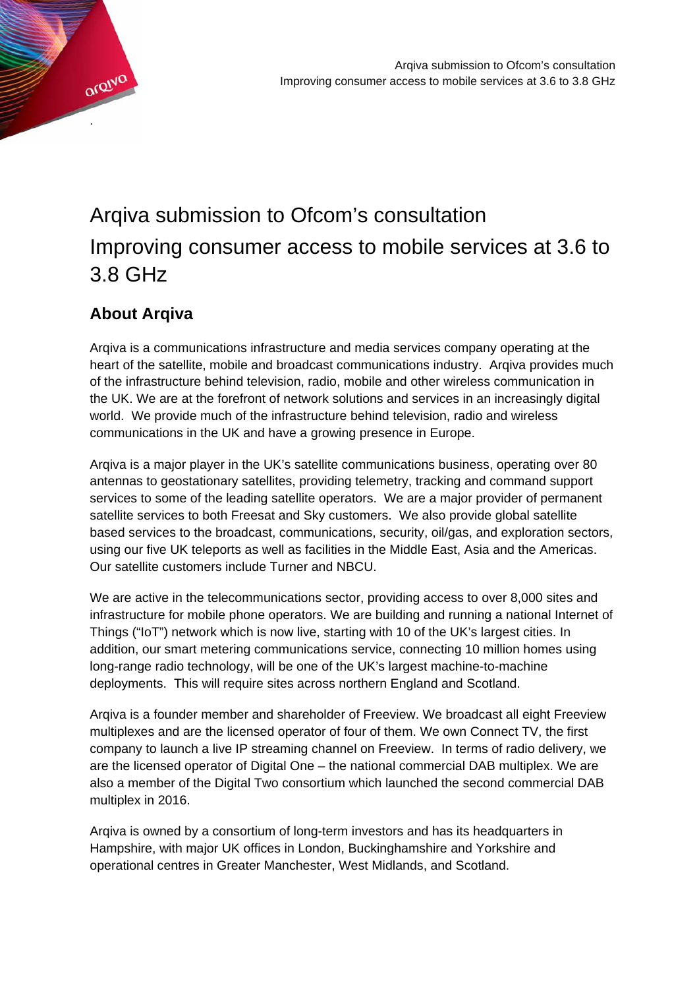

# Arqiva submission to Ofcom's consultation Improving consumer access to mobile services at 3.6 to 3.8 GHz

## **About Arqiva**

Arqiva is a communications infrastructure and media services company operating at the heart of the satellite, mobile and broadcast communications industry. Arqiva provides much of the infrastructure behind television, radio, mobile and other wireless communication in the UK. We are at the forefront of network solutions and services in an increasingly digital world. We provide much of the infrastructure behind television, radio and wireless communications in the UK and have a growing presence in Europe.

Arqiva is a major player in the UK's satellite communications business, operating over 80 antennas to geostationary satellites, providing telemetry, tracking and command support services to some of the leading satellite operators. We are a major provider of permanent satellite services to both Freesat and Sky customers. We also provide global satellite based services to the broadcast, communications, security, oil/gas, and exploration sectors, using our five UK teleports as well as facilities in the Middle East, Asia and the Americas. Our satellite customers include Turner and NBCU.

We are active in the telecommunications sector, providing access to over 8,000 sites and infrastructure for mobile phone operators. We are building and running a national Internet of Things ("IoT") network which is now live, starting with 10 of the UK's largest cities. In addition, our smart metering communications service, connecting 10 million homes using long-range radio technology, will be one of the UK's largest machine-to-machine deployments. This will require sites across northern England and Scotland.

Arqiva is a founder member and shareholder of Freeview. We broadcast all eight Freeview multiplexes and are the licensed operator of four of them. We own Connect TV, the first company to launch a live IP streaming channel on Freeview. In terms of radio delivery, we are the licensed operator of Digital One – the national commercial DAB multiplex. We are also a member of the Digital Two consortium which launched the second commercial DAB multiplex in 2016.

Arqiva is owned by a consortium of long-term investors and has its headquarters in Hampshire, with major UK offices in London, Buckinghamshire and Yorkshire and operational centres in Greater Manchester, West Midlands, and Scotland.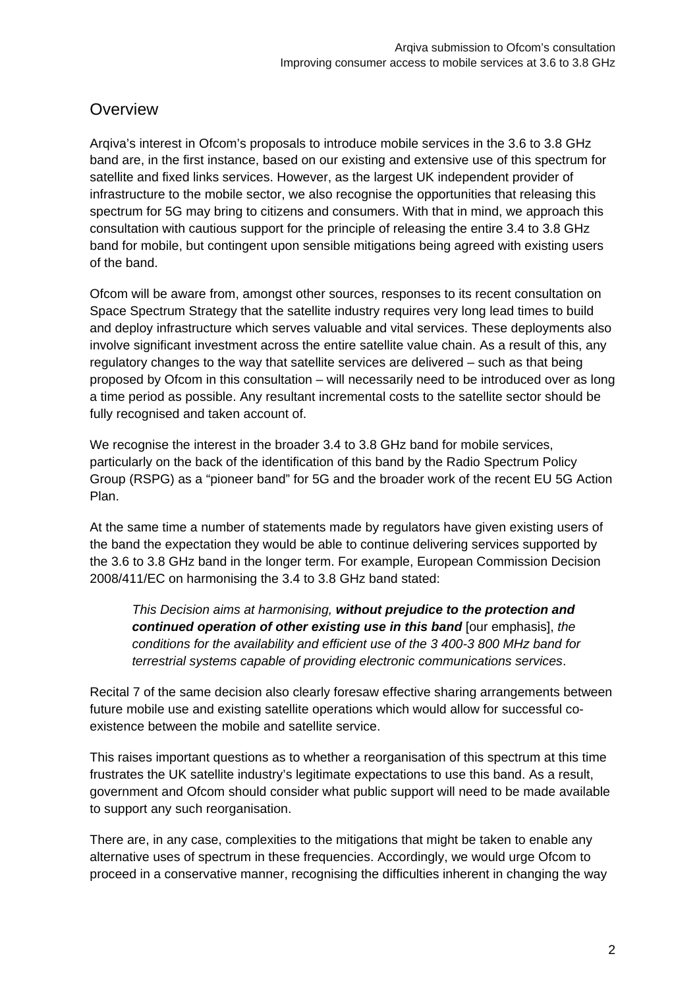## **Overview**

Arqiva's interest in Ofcom's proposals to introduce mobile services in the 3.6 to 3.8 GHz band are, in the first instance, based on our existing and extensive use of this spectrum for satellite and fixed links services. However, as the largest UK independent provider of infrastructure to the mobile sector, we also recognise the opportunities that releasing this spectrum for 5G may bring to citizens and consumers. With that in mind, we approach this consultation with cautious support for the principle of releasing the entire 3.4 to 3.8 GHz band for mobile, but contingent upon sensible mitigations being agreed with existing users of the band.

Ofcom will be aware from, amongst other sources, responses to its recent consultation on Space Spectrum Strategy that the satellite industry requires very long lead times to build and deploy infrastructure which serves valuable and vital services. These deployments also involve significant investment across the entire satellite value chain. As a result of this, any regulatory changes to the way that satellite services are delivered – such as that being proposed by Ofcom in this consultation – will necessarily need to be introduced over as long a time period as possible. Any resultant incremental costs to the satellite sector should be fully recognised and taken account of.

We recognise the interest in the broader 3.4 to 3.8 GHz band for mobile services, particularly on the back of the identification of this band by the Radio Spectrum Policy Group (RSPG) as a "pioneer band" for 5G and the broader work of the recent EU 5G Action Plan.

At the same time a number of statements made by regulators have given existing users of the band the expectation they would be able to continue delivering services supported by the 3.6 to 3.8 GHz band in the longer term. For example, European Commission Decision 2008/411/EC on harmonising the 3.4 to 3.8 GHz band stated:

*This Decision aims at harmonising, without prejudice to the protection and continued operation of other existing use in this band* [our emphasis], *the conditions for the availability and efficient use of the 3 400-3 800 MHz band for terrestrial systems capable of providing electronic communications services*.

Recital 7 of the same decision also clearly foresaw effective sharing arrangements between future mobile use and existing satellite operations which would allow for successful coexistence between the mobile and satellite service.

This raises important questions as to whether a reorganisation of this spectrum at this time frustrates the UK satellite industry's legitimate expectations to use this band. As a result, government and Ofcom should consider what public support will need to be made available to support any such reorganisation.

There are, in any case, complexities to the mitigations that might be taken to enable any alternative uses of spectrum in these frequencies. Accordingly, we would urge Ofcom to proceed in a conservative manner, recognising the difficulties inherent in changing the way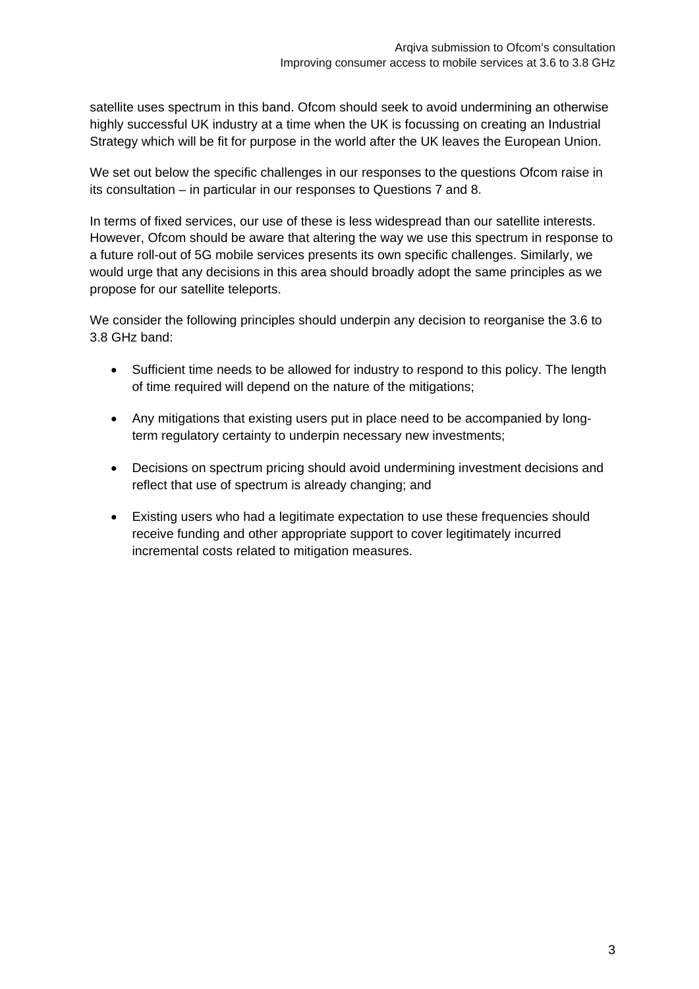satellite uses spectrum in this band. Ofcom should seek to avoid undermining an otherwise highly successful UK industry at a time when the UK is focussing on creating an Industrial Strategy which will be fit for purpose in the world after the UK leaves the European Union.

We set out below the specific challenges in our responses to the questions Ofcom raise in its consultation – in particular in our responses to Questions 7 and 8.

In terms of fixed services, our use of these is less widespread than our satellite interests. However, Ofcom should be aware that altering the way we use this spectrum in response to a future roll-out of 5G mobile services presents its own specific challenges. Similarly, we would urge that any decisions in this area should broadly adopt the same principles as we propose for our satellite teleports.

We consider the following principles should underpin any decision to reorganise the 3.6 to 3.8 GHz band:

- Sufficient time needs to be allowed for industry to respond to this policy. The length of time required will depend on the nature of the mitigations;
- Any mitigations that existing users put in place need to be accompanied by longterm regulatory certainty to underpin necessary new investments;
- Decisions on spectrum pricing should avoid undermining investment decisions and reflect that use of spectrum is already changing; and
- Existing users who had a legitimate expectation to use these frequencies should receive funding and other appropriate support to cover legitimately incurred incremental costs related to mitigation measures.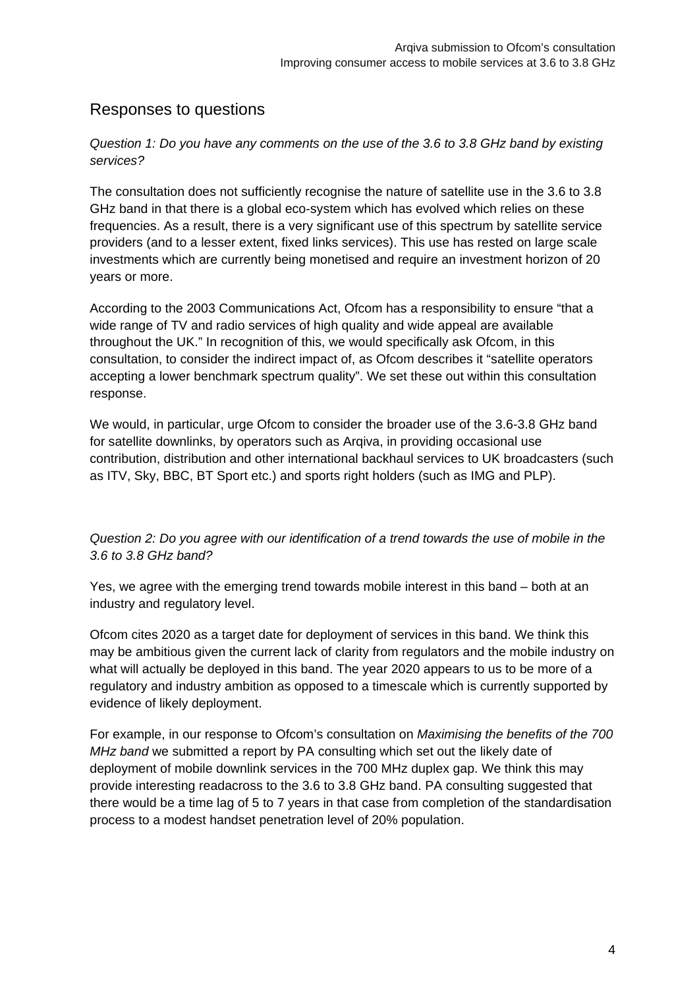## Responses to questions

*Question 1: Do you have any comments on the use of the 3.6 to 3.8 GHz band by existing services?*

The consultation does not sufficiently recognise the nature of satellite use in the 3.6 to 3.8 GHz band in that there is a global eco-system which has evolved which relies on these frequencies. As a result, there is a very significant use of this spectrum by satellite service providers (and to a lesser extent, fixed links services). This use has rested on large scale investments which are currently being monetised and require an investment horizon of 20 years or more.

According to the 2003 Communications Act, Ofcom has a responsibility to ensure "that a wide range of TV and radio services of high quality and wide appeal are available throughout the UK." In recognition of this, we would specifically ask Ofcom, in this consultation, to consider the indirect impact of, as Ofcom describes it "satellite operators accepting a lower benchmark spectrum quality". We set these out within this consultation response.

We would, in particular, urge Ofcom to consider the broader use of the 3.6-3.8 GHz band for satellite downlinks, by operators such as Arqiva, in providing occasional use contribution, distribution and other international backhaul services to UK broadcasters (such as ITV, Sky, BBC, BT Sport etc.) and sports right holders (such as IMG and PLP).

*Question 2: Do you agree with our identification of a trend towards the use of mobile in the 3.6 to 3.8 GHz band?* 

Yes, we agree with the emerging trend towards mobile interest in this band – both at an industry and regulatory level.

Ofcom cites 2020 as a target date for deployment of services in this band. We think this may be ambitious given the current lack of clarity from regulators and the mobile industry on what will actually be deployed in this band. The year 2020 appears to us to be more of a regulatory and industry ambition as opposed to a timescale which is currently supported by evidence of likely deployment.

For example, in our response to Ofcom's consultation on *Maximising the benefits of the 700 MHz band* we submitted a report by PA consulting which set out the likely date of deployment of mobile downlink services in the 700 MHz duplex gap. We think this may provide interesting readacross to the 3.6 to 3.8 GHz band. PA consulting suggested that there would be a time lag of 5 to 7 years in that case from completion of the standardisation process to a modest handset penetration level of 20% population.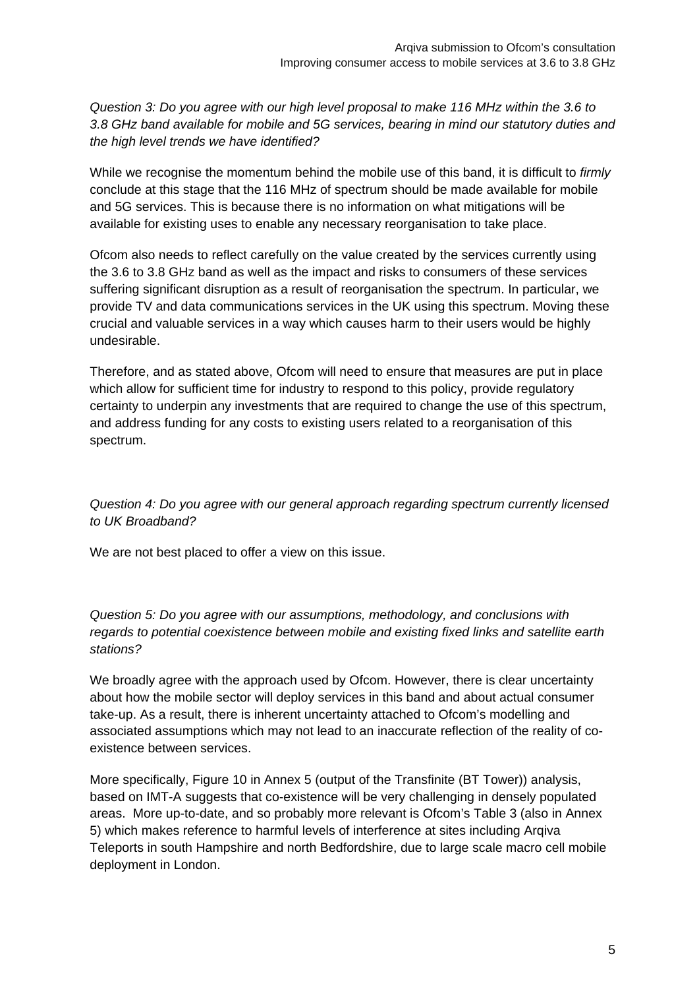*Question 3: Do you agree with our high level proposal to make 116 MHz within the 3.6 to 3.8 GHz band available for mobile and 5G services, bearing in mind our statutory duties and the high level trends we have identified?* 

While we recognise the momentum behind the mobile use of this band, it is difficult to *firmly* conclude at this stage that the 116 MHz of spectrum should be made available for mobile and 5G services. This is because there is no information on what mitigations will be available for existing uses to enable any necessary reorganisation to take place.

Ofcom also needs to reflect carefully on the value created by the services currently using the 3.6 to 3.8 GHz band as well as the impact and risks to consumers of these services suffering significant disruption as a result of reorganisation the spectrum. In particular, we provide TV and data communications services in the UK using this spectrum. Moving these crucial and valuable services in a way which causes harm to their users would be highly undesirable.

Therefore, and as stated above, Ofcom will need to ensure that measures are put in place which allow for sufficient time for industry to respond to this policy, provide regulatory certainty to underpin any investments that are required to change the use of this spectrum, and address funding for any costs to existing users related to a reorganisation of this spectrum.

*Question 4: Do you agree with our general approach regarding spectrum currently licensed to UK Broadband?* 

We are not best placed to offer a view on this issue.

*Question 5: Do you agree with our assumptions, methodology, and conclusions with regards to potential coexistence between mobile and existing fixed links and satellite earth stations?* 

We broadly agree with the approach used by Ofcom. However, there is clear uncertainty about how the mobile sector will deploy services in this band and about actual consumer take-up. As a result, there is inherent uncertainty attached to Ofcom's modelling and associated assumptions which may not lead to an inaccurate reflection of the reality of coexistence between services.

More specifically, Figure 10 in Annex 5 (output of the Transfinite (BT Tower)) analysis, based on IMT-A suggests that co-existence will be very challenging in densely populated areas. More up-to-date, and so probably more relevant is Ofcom's Table 3 (also in Annex 5) which makes reference to harmful levels of interference at sites including Arqiva Teleports in south Hampshire and north Bedfordshire, due to large scale macro cell mobile deployment in London.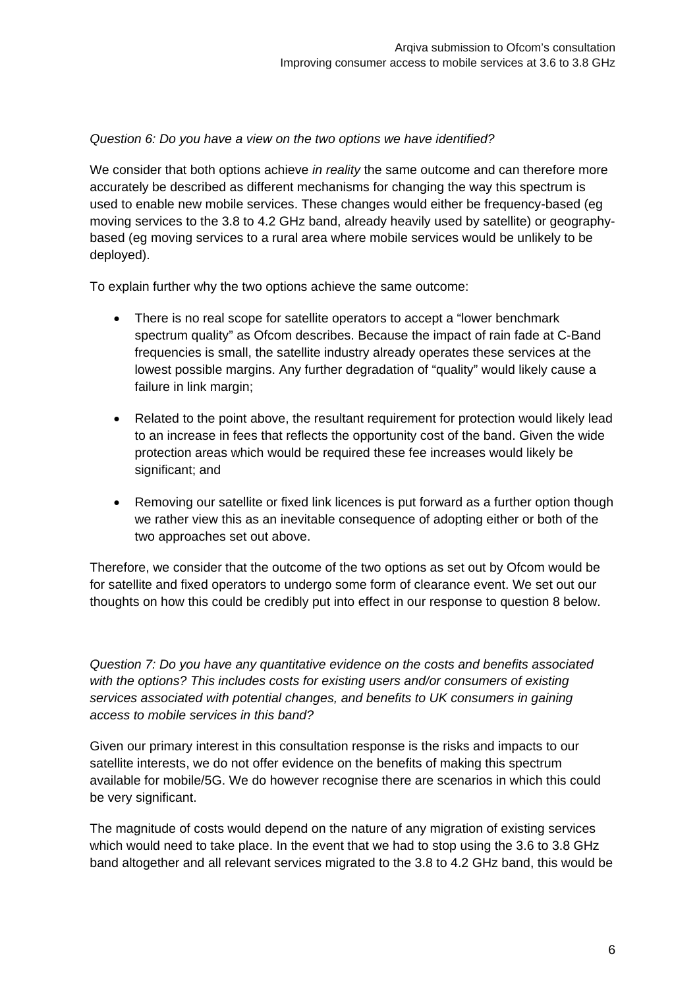#### *Question 6: Do you have a view on the two options we have identified?*

We consider that both options achieve *in reality* the same outcome and can therefore more accurately be described as different mechanisms for changing the way this spectrum is used to enable new mobile services. These changes would either be frequency-based (eg moving services to the 3.8 to 4.2 GHz band, already heavily used by satellite) or geographybased (eg moving services to a rural area where mobile services would be unlikely to be deployed).

To explain further why the two options achieve the same outcome:

- There is no real scope for satellite operators to accept a "lower benchmark" spectrum quality" as Ofcom describes. Because the impact of rain fade at C-Band frequencies is small, the satellite industry already operates these services at the lowest possible margins. Any further degradation of "quality" would likely cause a failure in link margin;
- Related to the point above, the resultant requirement for protection would likely lead to an increase in fees that reflects the opportunity cost of the band. Given the wide protection areas which would be required these fee increases would likely be significant; and
- Removing our satellite or fixed link licences is put forward as a further option though we rather view this as an inevitable consequence of adopting either or both of the two approaches set out above.

Therefore, we consider that the outcome of the two options as set out by Ofcom would be for satellite and fixed operators to undergo some form of clearance event. We set out our thoughts on how this could be credibly put into effect in our response to question 8 below.

*Question 7: Do you have any quantitative evidence on the costs and benefits associated with the options? This includes costs for existing users and/or consumers of existing services associated with potential changes, and benefits to UK consumers in gaining access to mobile services in this band?* 

Given our primary interest in this consultation response is the risks and impacts to our satellite interests, we do not offer evidence on the benefits of making this spectrum available for mobile/5G. We do however recognise there are scenarios in which this could be very significant.

The magnitude of costs would depend on the nature of any migration of existing services which would need to take place. In the event that we had to stop using the 3.6 to 3.8 GHz band altogether and all relevant services migrated to the 3.8 to 4.2 GHz band, this would be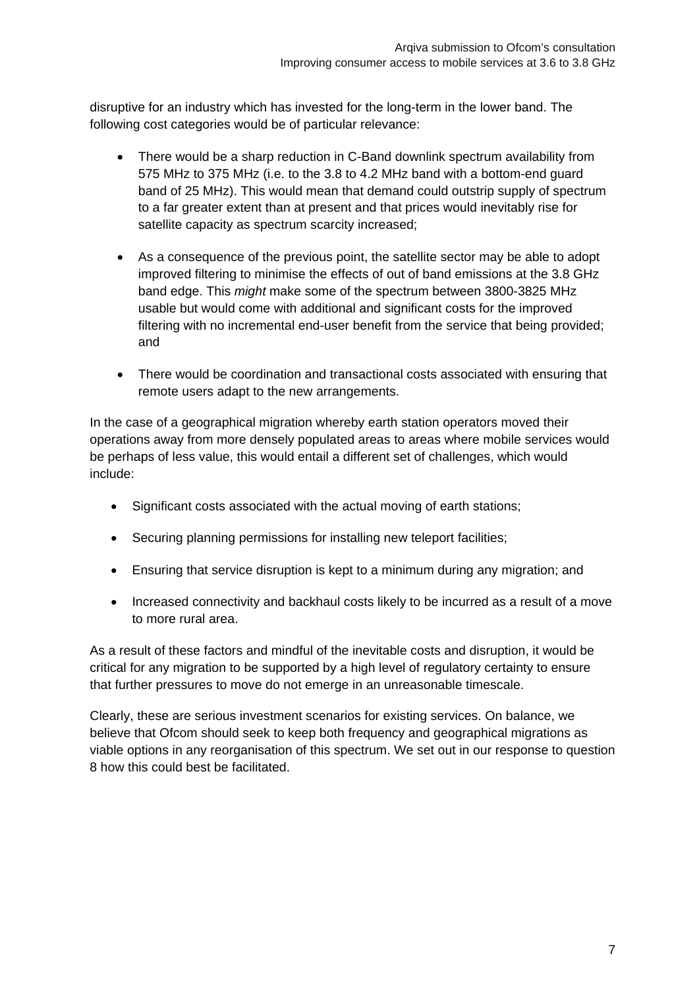disruptive for an industry which has invested for the long-term in the lower band. The following cost categories would be of particular relevance:

- There would be a sharp reduction in C-Band downlink spectrum availability from 575 MHz to 375 MHz (i.e. to the 3.8 to 4.2 MHz band with a bottom-end guard band of 25 MHz). This would mean that demand could outstrip supply of spectrum to a far greater extent than at present and that prices would inevitably rise for satellite capacity as spectrum scarcity increased;
- As a consequence of the previous point, the satellite sector may be able to adopt improved filtering to minimise the effects of out of band emissions at the 3.8 GHz band edge. This *might* make some of the spectrum between 3800-3825 MHz usable but would come with additional and significant costs for the improved filtering with no incremental end-user benefit from the service that being provided; and
- There would be coordination and transactional costs associated with ensuring that remote users adapt to the new arrangements.

In the case of a geographical migration whereby earth station operators moved their operations away from more densely populated areas to areas where mobile services would be perhaps of less value, this would entail a different set of challenges, which would include:

- Significant costs associated with the actual moving of earth stations;
- Securing planning permissions for installing new teleport facilities;
- Ensuring that service disruption is kept to a minimum during any migration; and
- Increased connectivity and backhaul costs likely to be incurred as a result of a move to more rural area.

As a result of these factors and mindful of the inevitable costs and disruption, it would be critical for any migration to be supported by a high level of regulatory certainty to ensure that further pressures to move do not emerge in an unreasonable timescale.

Clearly, these are serious investment scenarios for existing services. On balance, we believe that Ofcom should seek to keep both frequency and geographical migrations as viable options in any reorganisation of this spectrum. We set out in our response to question 8 how this could best be facilitated.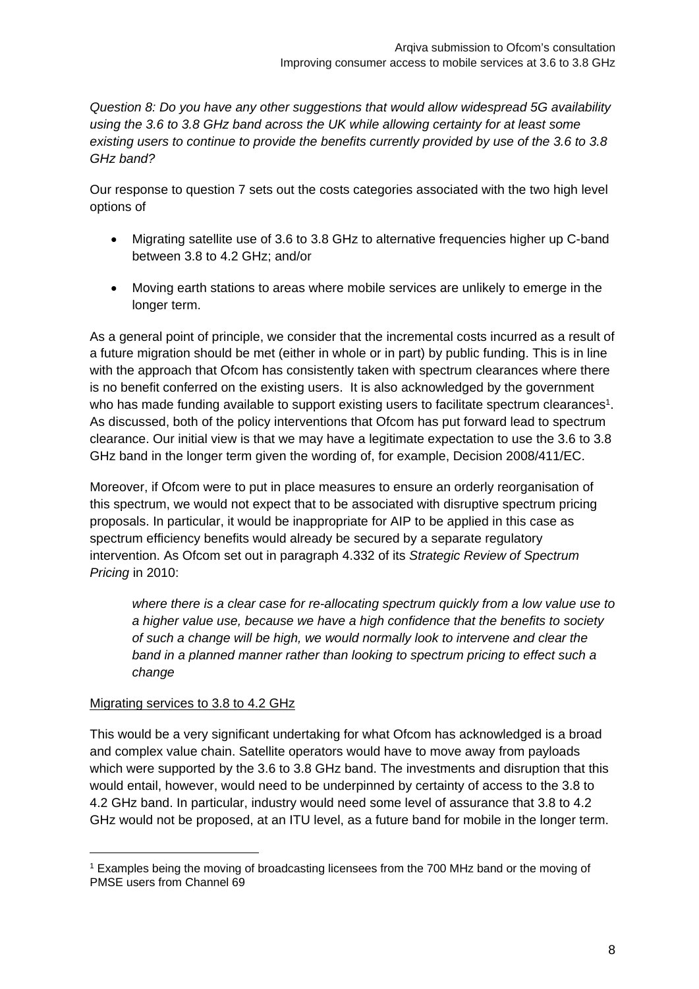*Question 8: Do you have any other suggestions that would allow widespread 5G availability using the 3.6 to 3.8 GHz band across the UK while allowing certainty for at least some existing users to continue to provide the benefits currently provided by use of the 3.6 to 3.8 GHz band?*

Our response to question 7 sets out the costs categories associated with the two high level options of

- Migrating satellite use of 3.6 to 3.8 GHz to alternative frequencies higher up C-band between 3.8 to 4.2 GHz; and/or
- Moving earth stations to areas where mobile services are unlikely to emerge in the longer term.

As a general point of principle, we consider that the incremental costs incurred as a result of a future migration should be met (either in whole or in part) by public funding. This is in line with the approach that Ofcom has consistently taken with spectrum clearances where there is no benefit conferred on the existing users. It is also acknowledged by the government who has made funding available to support existing users to facilitate spectrum clearances<sup>1</sup>. As discussed, both of the policy interventions that Ofcom has put forward lead to spectrum clearance. Our initial view is that we may have a legitimate expectation to use the 3.6 to 3.8 GHz band in the longer term given the wording of, for example, Decision 2008/411/EC.

Moreover, if Ofcom were to put in place measures to ensure an orderly reorganisation of this spectrum, we would not expect that to be associated with disruptive spectrum pricing proposals. In particular, it would be inappropriate for AIP to be applied in this case as spectrum efficiency benefits would already be secured by a separate regulatory intervention. As Ofcom set out in paragraph 4.332 of its *Strategic Review of Spectrum Pricing* in 2010:

*where there is a clear case for re-allocating spectrum quickly from a low value use to a higher value use, because we have a high confidence that the benefits to society of such a change will be high, we would normally look to intervene and clear the band in a planned manner rather than looking to spectrum pricing to effect such a change* 

### Migrating services to 3.8 to 4.2 GHz

-

This would be a very significant undertaking for what Ofcom has acknowledged is a broad and complex value chain. Satellite operators would have to move away from payloads which were supported by the 3.6 to 3.8 GHz band. The investments and disruption that this would entail, however, would need to be underpinned by certainty of access to the 3.8 to 4.2 GHz band. In particular, industry would need some level of assurance that 3.8 to 4.2 GHz would not be proposed, at an ITU level, as a future band for mobile in the longer term.

<sup>1</sup> Examples being the moving of broadcasting licensees from the 700 MHz band or the moving of PMSE users from Channel 69